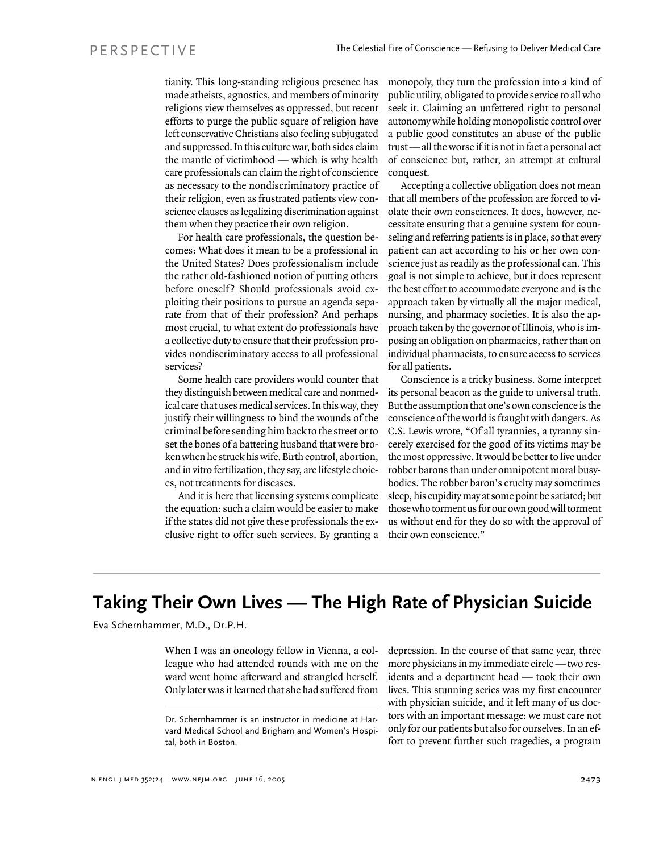tianity. This long-standing religious presence has made atheists, agnostics, and members of minority religions view themselves as oppressed, but recent efforts to purge the public square of religion have left conservative Christians also feeling subjugated and suppressed. In this culture war, both sides claim the mantle of victimhood — which is why health care professionals can claim the right of conscience as necessary to the nondiscriminatory practice of their religion, even as frustrated patients view conscience clauses as legalizing discrimination against them when they practice their own religion.

For health care professionals, the question becomes: What does it mean to be a professional in the United States? Does professionalism include the rather old-fashioned notion of putting others before oneself? Should professionals avoid exploiting their positions to pursue an agenda separate from that of their profession? And perhaps most crucial, to what extent do professionals have a collective duty to ensure that their profession provides nondiscriminatory access to all professional services?

Some health care providers would counter that they distinguish between medical care and nonmedical care that uses medical services. In this way, they justify their willingness to bind the wounds of the criminal before sending him back to the street or to set the bones of a battering husband that were broken when he struck his wife. Birth control, abortion, and in vitro fertilization, they say, are lifestyle choices, not treatments for diseases.

And it is here that licensing systems complicate the equation: such a claim would be easier to make if the states did not give these professionals the exclusive right to offer such services. By granting a monopoly, they turn the profession into a kind of public utility, obligated to provide service to all who seek it. Claiming an unfettered right to personal autonomy while holding monopolistic control over a public good constitutes an abuse of the public trust — all the worse if it is not in fact a personal act of conscience but, rather, an attempt at cultural conquest.

Accepting a collective obligation does not mean that all members of the profession are forced to violate their own consciences. It does, however, necessitate ensuring that a genuine system for counseling and referring patients is in place, so that every patient can act according to his or her own conscience just as readily as the professional can. This goal is not simple to achieve, but it does represent the best effort to accommodate everyone and is the approach taken by virtually all the major medical, nursing, and pharmacy societies. It is also the approach taken by the governor of Illinois, who is imposing an obligation on pharmacies, rather than on individual pharmacists, to ensure access to services for all patients.

Conscience is a tricky business. Some interpret its personal beacon as the guide to universal truth. But the assumption that one's own conscience is the conscience of the world is fraught with dangers. As C.S. Lewis wrote, "Of all tyrannies, a tyranny sincerely exercised for the good of its victims may be the most oppressive. It would be better to live under robber barons than under omnipotent moral busybodies. The robber baron's cruelty may sometimes sleep, his cupidity may at some point be satiated; but those who torment us for our own good will torment us without end for they do so with the approval of their own conscience."

## **Taking Their Own Lives — The High Rate of Physician Suicide**

Eva Schernhammer, M.D., Dr.P.H.

When I was an oncology fellow in Vienna, a colleague who had attended rounds with me on the ward went home afterward and strangled herself. Only later was it learned that she had suffered from

depression. In the course of that same year, three more physicians in my immediate circle — two residents and a department head — took their own lives. This stunning series was my first encounter with physician suicide, and it left many of us doctors with an important message: we must care not only for our patients but also for ourselves. In an effort to prevent further such tragedies, a program

Dr. Schernhammer is an instructor in medicine at Harvard Medical School and Brigham and Women's Hospital, both in Boston.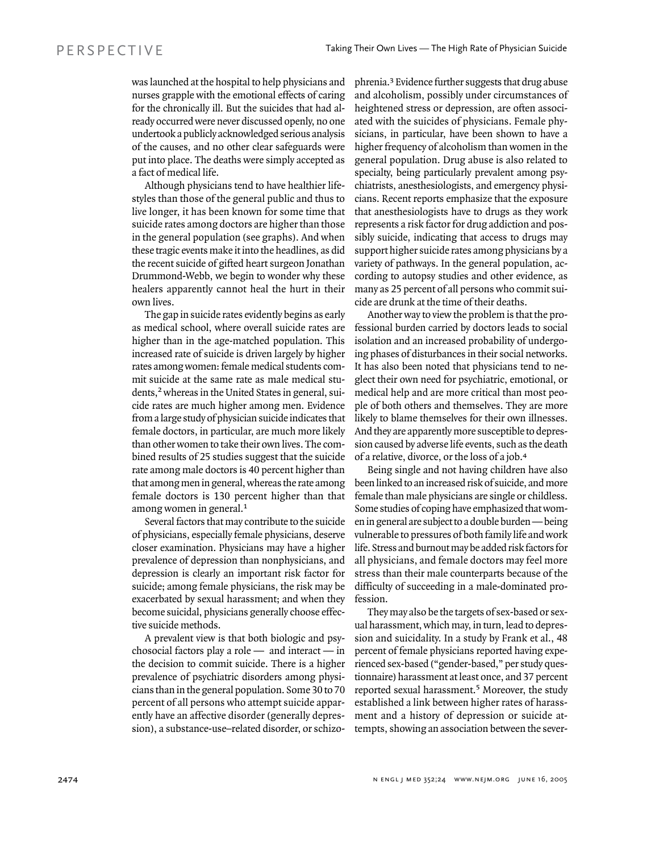was launched at the hospital to help physicians and nurses grapple with the emotional effects of caring for the chronically ill. But the suicides that had already occurred were never discussed openly, no one undertook a publicly acknowledged serious analysis of the causes, and no other clear safeguards were put into place. The deaths were simply accepted as a fact of medical life.

Although physicians tend to have healthier lifestyles than those of the general public and thus to live longer, it has been known for some time that suicide rates among doctors are higher than those in the general population (see graphs). And when these tragic events make it into the headlines, as did the recent suicide of gifted heart surgeon Jonathan Drummond-Webb, we begin to wonder why these healers apparently cannot heal the hurt in their own lives.

The gap in suicide rates evidently begins as early as medical school, where overall suicide rates are higher than in the age-matched population. This increased rate of suicide is driven largely by higher rates among women: female medical students commit suicide at the same rate as male medical students,<sup>2</sup> whereas in the United States in general, suicide rates are much higher among men. Evidence from a large study of physician suicide indicates that female doctors, in particular, are much more likely than other women to take their own lives. The combined results of 25 studies suggest that the suicide rate among male doctors is 40 percent higher than that among men in general, whereas the rate among female doctors is 130 percent higher than that among women in general.<sup>1</sup>

Several factors that may contribute to the suicide of physicians, especially female physicians, deserve closer examination. Physicians may have a higher prevalence of depression than nonphysicians, and depression is clearly an important risk factor for suicide; among female physicians, the risk may be exacerbated by sexual harassment; and when they become suicidal, physicians generally choose effective suicide methods.

A prevalent view is that both biologic and psychosocial factors play a role — and interact — in the decision to commit suicide. There is a higher prevalence of psychiatric disorders among physicians than in the general population. Some 30 to 70 percent of all persons who attempt suicide apparently have an affective disorder (generally depression), a substance-use–related disorder, or schizophrenia.3 Evidence further suggests that drug abuse and alcoholism, possibly under circumstances of heightened stress or depression, are often associated with the suicides of physicians. Female physicians, in particular, have been shown to have a higher frequency of alcoholism than women in the general population. Drug abuse is also related to specialty, being particularly prevalent among psychiatrists, anesthesiologists, and emergency physicians. Recent reports emphasize that the exposure that anesthesiologists have to drugs as they work represents a risk factor for drug addiction and possibly suicide, indicating that access to drugs may support higher suicide rates among physicians by a variety of pathways. In the general population, according to autopsy studies and other evidence, as many as 25 percent of all persons who commit suicide are drunk at the time of their deaths.

Another way to view the problem is that the professional burden carried by doctors leads to social isolation and an increased probability of undergoing phases of disturbances in their social networks. It has also been noted that physicians tend to neglect their own need for psychiatric, emotional, or medical help and are more critical than most people of both others and themselves. They are more likely to blame themselves for their own illnesses. And they are apparently more susceptible to depression caused by adverse life events, such as the death of a relative, divorce, or the loss of a job.<sup>4</sup>

Being single and not having children have also been linked to an increased risk of suicide, and more female than male physicians are single or childless. Some studies of coping have emphasized that women in general are subject to a double burden — being vulnerable to pressures of both family life and work life. Stress and burnout may be added risk factors for all physicians, and female doctors may feel more stress than their male counterparts because of the difficulty of succeeding in a male-dominated profession.

They may also be the targets of sex-based or sexual harassment, which may, in turn, lead to depression and suicidality. In a study by Frank et al., 48 percent of female physicians reported having experienced sex-based ("gender-based," per study questionnaire) harassment at least once, and 37 percent reported sexual harassment.<sup>5</sup> Moreover, the study established a link between higher rates of harassment and a history of depression or suicide attempts, showing an association between the sever-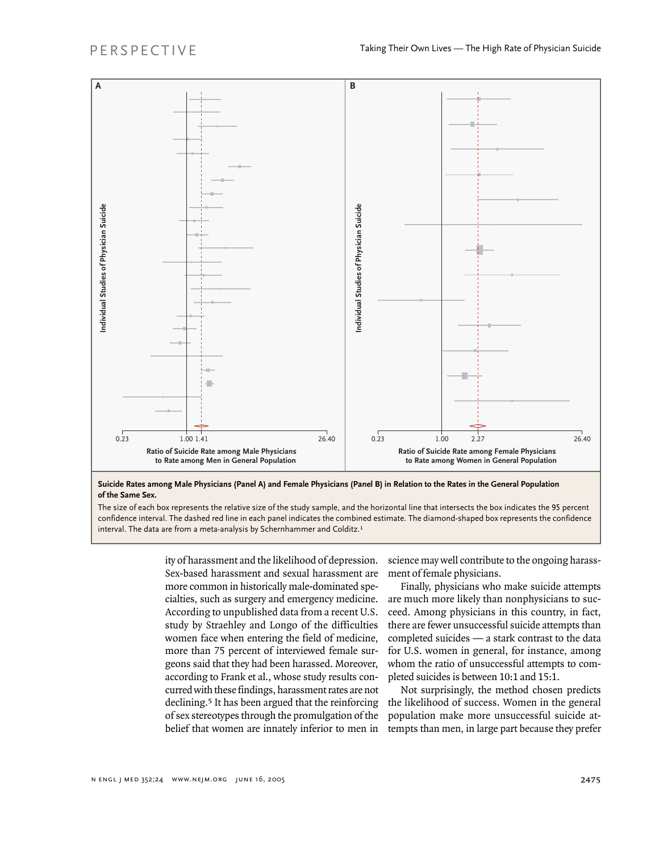

**Suicide Rates among Male Physicians (Panel A) and Female Physicians (Panel B) in Relation to the Rates in the General Population of the Same Sex.**

The size of each box represents the relative size of the study sample, and the horizontal line that intersects the box indicates the 95 percent confidence interval. The dashed red line in each panel indicates the combined estimate. The diamond-shaped box represents the confidence interval. The data are from a meta-analysis by Schernhammer and Colditz.<sup>1</sup>

> ity of harassment and the likelihood of depression. Sex-based harassment and sexual harassment are more common in historically male-dominated specialties, such as surgery and emergency medicine. According to unpublished data from a recent U.S. study by Straehley and Longo of the difficulties women face when entering the field of medicine, more than 75 percent of interviewed female surgeons said that they had been harassed. Moreover, according to Frank et al., whose study results concurred with these findings, harassment rates are not declining.<sup>5</sup> It has been argued that the reinforcing of sex stereotypes through the promulgation of the belief that women are innately inferior to men in

science may well contribute to the ongoing harassment of female physicians.

Finally, physicians who make suicide attempts are much more likely than nonphysicians to succeed. Among physicians in this country, in fact, there are fewer unsuccessful suicide attempts than completed suicides — a stark contrast to the data for U.S. women in general, for instance, among whom the ratio of unsuccessful attempts to completed suicides is between 10:1 and 15:1.

Not surprisingly, the method chosen predicts the likelihood of success. Women in the general population make more unsuccessful suicide attempts than men, in large part because they prefer